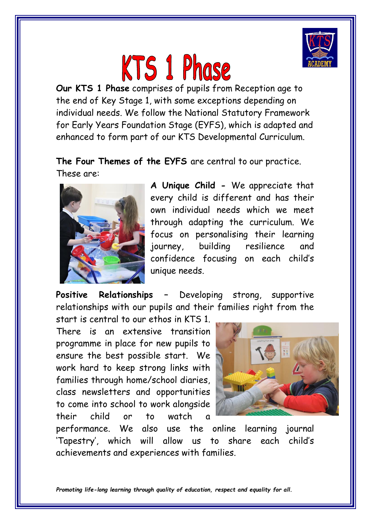

## **KTS 1 Phase**

**Our KTS 1 Phase** comprises of pupils from Reception age to the end of Key Stage 1, with some exceptions depending on individual needs. We follow the National Statutory Framework for Early Years Foundation Stage (EYFS), which is adapted and enhanced to form part of our KTS Developmental Curriculum.

## **The Four Themes of the EYFS** are central to our practice. These are:



**A Unique Child -** We appreciate that every child is different and has their own individual needs which we meet through adapting the curriculum. We focus on personalising their learning journey, building resilience and confidence focusing on each child's unique needs.

**Positive Relationships –** Developing strong, supportive relationships with our pupils and their families right from the

start is central to our ethos in KTS 1. There is an extensive transition programme in place for new pupils to ensure the best possible start. We work hard to keep strong links with families through home/school diaries, class newsletters and opportunities to come into school to work alongside their child or to watch a



performance. We also use the online learning journal 'Tapestry', which will allow us to share each child's achievements and experiences with families.

*Promoting life-long learning through quality of education, respect and equality for all.*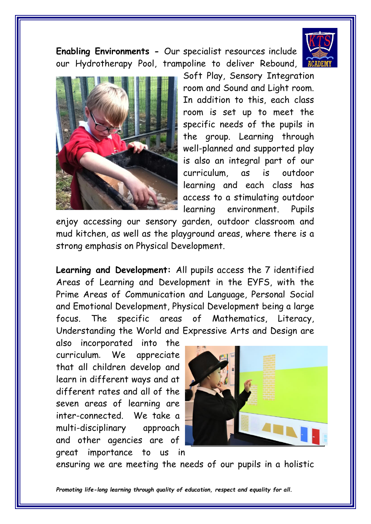

**Enabling Environments -** Our specialist resources include our Hydrotherapy Pool, trampoline to deliver Rebound,



Soft Play, Sensory Integration room and Sound and Light room. In addition to this, each class room is set up to meet the specific needs of the pupils in the group. Learning through well-planned and supported play is also an integral part of our curriculum, as is outdoor learning and each class has access to a stimulating outdoor learning environment. Pupils

enjoy accessing our sensory garden, outdoor classroom and mud kitchen, as well as the playground areas, where there is a strong emphasis on Physical Development.

**Learning and Development:** All pupils access the 7 identified Areas of Learning and Development in the EYFS, with the Prime Areas of Communication and Language, Personal Social and Emotional Development, Physical Development being a large focus. The specific areas of Mathematics, Literacy, Understanding the World and Expressive Arts and Design are

also incorporated into the curriculum. We appreciate that all children develop and learn in different ways and at different rates and all of the seven areas of learning are inter-connected. We take a multi-disciplinary approach and other agencies are of great importance to us in



ensuring we are meeting the needs of our pupils in a holistic